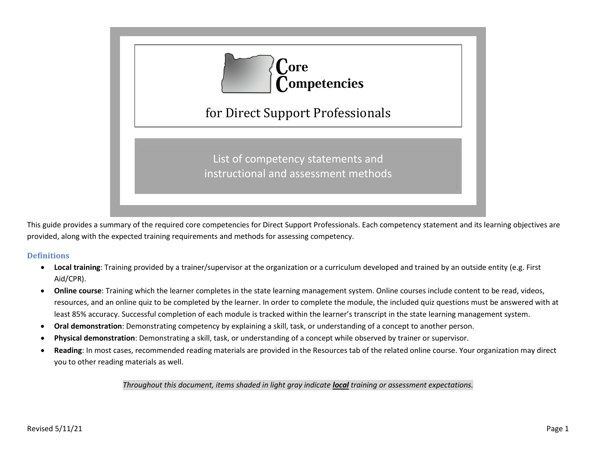

This guide provides a summary of the required core competencies for Direct Support Professionals. Each competency statement and its learning objectives are provided, along with the expected training requirements and methods for assessing competency.

#### **Definitions**

- **Local training**: Training provided by a trainer/supervisor at the organization or a curriculum developed and trained by an outside entity (e.g. First Aid/CPR).
- **Online course**: Training which the learner completes in the state learning management system. Online courses include content to be read, videos, resources, and an online quiz to be completed by the learner. In order to complete the module, the included quiz questions must be answered with at least 85% accuracy. Successful completion of each module is tracked within the learner's transcript in the state learning management system.
- **Oral demonstration**: Demonstrating competency by explaining a skill, task, or understanding of a concept to another person.
- **Physical demonstration**: Demonstrating a skill, task, or understanding of a concept while observed by trainer or supervisor.
- **Reading**: In most cases, recommended reading materials are provided in the Resources tab of the related online course. Your organization may direct you to other reading materials as well.

#### *Throughout this document, items shaded in light gray indicate local training or assessment expectations.*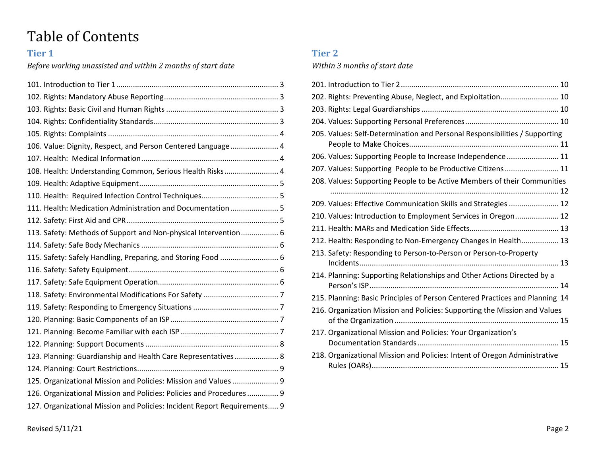# Table of Contents

# **Tier 1**

*Before working unassisted and within 2 months of start date*

| 106. Value: Dignity, Respect, and Person Centered Language  4            |  |
|--------------------------------------------------------------------------|--|
|                                                                          |  |
| 108. Health: Understanding Common, Serious Health Risks 4                |  |
|                                                                          |  |
|                                                                          |  |
| 111. Health: Medication Administration and Documentation  5              |  |
|                                                                          |  |
| 113. Safety: Methods of Support and Non-physical Intervention 6          |  |
|                                                                          |  |
| 115. Safety: Safely Handling, Preparing, and Storing Food  6             |  |
|                                                                          |  |
|                                                                          |  |
|                                                                          |  |
|                                                                          |  |
|                                                                          |  |
|                                                                          |  |
|                                                                          |  |
| 123. Planning: Guardianship and Health Care Representatives 8            |  |
|                                                                          |  |
| 125. Organizational Mission and Policies: Mission and Values  9          |  |
| 126. Organizational Mission and Policies: Policies and Procedures 9      |  |
| 127. Organizational Mission and Policies: Incident Report Requirements 9 |  |

# **Tier 2**

# *Within 3 months of start date*

| 202. Rights: Preventing Abuse, Neglect, and Exploitation 10                  |
|------------------------------------------------------------------------------|
|                                                                              |
|                                                                              |
| 205. Values: Self-Determination and Personal Responsibilities / Supporting   |
| 206. Values: Supporting People to Increase Independence  11                  |
| 207. Values: Supporting People to be Productive Citizens 11                  |
| 208. Values: Supporting People to be Active Members of their Communities     |
| 209. Values: Effective Communication Skills and Strategies  12               |
| 210. Values: Introduction to Employment Services in Oregon 12                |
|                                                                              |
| 212. Health: Responding to Non-Emergency Changes in Health 13                |
| 213. Safety: Responding to Person-to-Person or Person-to-Property            |
| 214. Planning: Supporting Relationships and Other Actions Directed by a      |
| 215. Planning: Basic Principles of Person Centered Practices and Planning 14 |
| 216. Organization Mission and Policies: Supporting the Mission and Values    |
| 217. Organizational Mission and Policies: Your Organization's                |
| 218. Organizational Mission and Policies: Intent of Oregon Administrative    |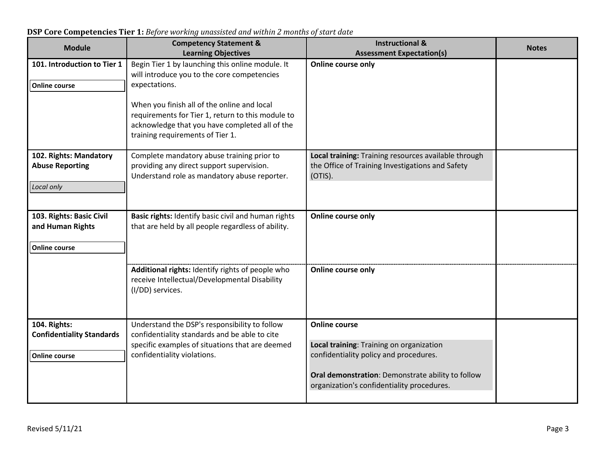| <b>Module</b>                                    | <b>Competency Statement &amp;</b>                                                       | <b>Instructional &amp;</b>                                                                               | <b>Notes</b> |
|--------------------------------------------------|-----------------------------------------------------------------------------------------|----------------------------------------------------------------------------------------------------------|--------------|
| 101. Introduction to Tier 1                      | <b>Learning Objectives</b><br>Begin Tier 1 by launching this online module. It          | <b>Assessment Expectation(s)</b><br><b>Online course only</b>                                            |              |
|                                                  | will introduce you to the core competencies                                             |                                                                                                          |              |
| <b>Online course</b>                             | expectations.                                                                           |                                                                                                          |              |
|                                                  |                                                                                         |                                                                                                          |              |
|                                                  | When you finish all of the online and local                                             |                                                                                                          |              |
|                                                  | requirements for Tier 1, return to this module to                                       |                                                                                                          |              |
|                                                  | acknowledge that you have completed all of the                                          |                                                                                                          |              |
|                                                  | training requirements of Tier 1.                                                        |                                                                                                          |              |
|                                                  |                                                                                         |                                                                                                          |              |
| 102. Rights: Mandatory<br><b>Abuse Reporting</b> | Complete mandatory abuse training prior to<br>providing any direct support supervision. | Local training: Training resources available through<br>the Office of Training Investigations and Safety |              |
|                                                  | Understand role as mandatory abuse reporter.                                            | (OTIS).                                                                                                  |              |
| Local only                                       |                                                                                         |                                                                                                          |              |
|                                                  |                                                                                         |                                                                                                          |              |
|                                                  |                                                                                         |                                                                                                          |              |
| 103. Rights: Basic Civil                         | Basic rights: Identify basic civil and human rights                                     | <b>Online course only</b>                                                                                |              |
| and Human Rights                                 | that are held by all people regardless of ability.                                      |                                                                                                          |              |
| <b>Online course</b>                             |                                                                                         |                                                                                                          |              |
|                                                  |                                                                                         |                                                                                                          |              |
|                                                  | Additional rights: Identify rights of people who                                        | Online course only                                                                                       |              |
|                                                  | receive Intellectual/Developmental Disability                                           |                                                                                                          |              |
|                                                  | (I/DD) services.                                                                        |                                                                                                          |              |
|                                                  |                                                                                         |                                                                                                          |              |
|                                                  |                                                                                         |                                                                                                          |              |
| 104. Rights:                                     | Understand the DSP's responsibility to follow                                           | <b>Online course</b>                                                                                     |              |
| <b>Confidentiality Standards</b>                 | confidentiality standards and be able to cite                                           |                                                                                                          |              |
| <b>Online course</b>                             | specific examples of situations that are deemed<br>confidentiality violations.          | Local training: Training on organization<br>confidentiality policy and procedures.                       |              |
|                                                  |                                                                                         |                                                                                                          |              |
|                                                  |                                                                                         | Oral demonstration: Demonstrate ability to follow                                                        |              |
|                                                  |                                                                                         | organization's confidentiality procedures.                                                               |              |
|                                                  |                                                                                         |                                                                                                          |              |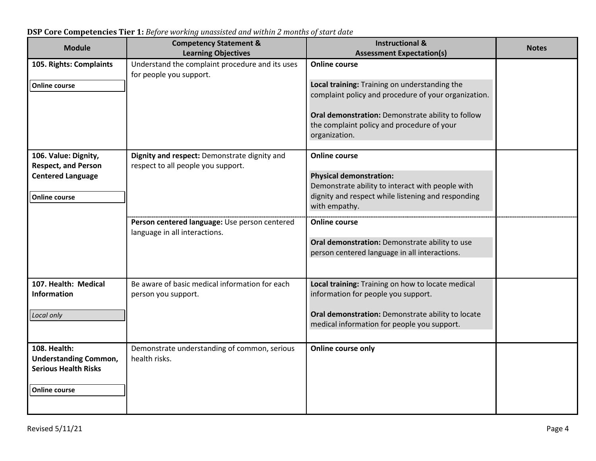| <b>Module</b>                                                                      | <b>Competency Statement &amp;</b><br><b>Learning Objectives</b>                    | <b>Instructional &amp;</b><br><b>Assessment Expectation(s)</b>                                                   | <b>Notes</b> |
|------------------------------------------------------------------------------------|------------------------------------------------------------------------------------|------------------------------------------------------------------------------------------------------------------|--------------|
| 105. Rights: Complaints                                                            | Understand the complaint procedure and its uses<br>for people you support.         | <b>Online course</b>                                                                                             |              |
| <b>Online course</b>                                                               |                                                                                    | Local training: Training on understanding the<br>complaint policy and procedure of your organization.            |              |
|                                                                                    |                                                                                    | Oral demonstration: Demonstrate ability to follow<br>the complaint policy and procedure of your<br>organization. |              |
| 106. Value: Dignity,<br><b>Respect, and Person</b>                                 | Dignity and respect: Demonstrate dignity and<br>respect to all people you support. | <b>Online course</b>                                                                                             |              |
| <b>Centered Language</b>                                                           |                                                                                    | <b>Physical demonstration:</b><br>Demonstrate ability to interact with people with                               |              |
| <b>Online course</b>                                                               |                                                                                    | dignity and respect while listening and responding<br>with empathy.                                              |              |
|                                                                                    | Person centered language: Use person centered<br>language in all interactions.     | <b>Online course</b>                                                                                             |              |
|                                                                                    |                                                                                    | Oral demonstration: Demonstrate ability to use<br>person centered language in all interactions.                  |              |
| 107. Health: Medical                                                               | Be aware of basic medical information for each                                     | Local training: Training on how to locate medical                                                                |              |
| <b>Information</b>                                                                 | person you support.                                                                | information for people you support.                                                                              |              |
| Local only                                                                         |                                                                                    | Oral demonstration: Demonstrate ability to locate<br>medical information for people you support.                 |              |
| <b>108. Health:</b><br><b>Understanding Common,</b><br><b>Serious Health Risks</b> | Demonstrate understanding of common, serious<br>health risks.                      | Online course only                                                                                               |              |
| <b>Online course</b>                                                               |                                                                                    |                                                                                                                  |              |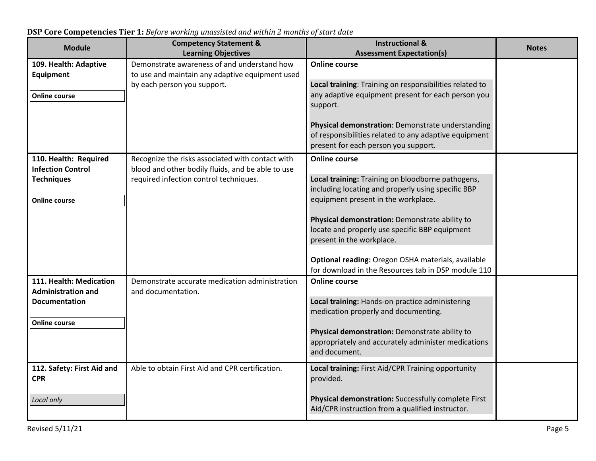| <b>Module</b>              | <b>Competency Statement &amp;</b>                 | <b>Instructional &amp;</b>                                                                            | <b>Notes</b> |
|----------------------------|---------------------------------------------------|-------------------------------------------------------------------------------------------------------|--------------|
|                            | <b>Learning Objectives</b>                        | <b>Assessment Expectation(s)</b>                                                                      |              |
| 109. Health: Adaptive      | Demonstrate awareness of and understand how       | <b>Online course</b>                                                                                  |              |
| <b>Equipment</b>           | to use and maintain any adaptive equipment used   |                                                                                                       |              |
|                            | by each person you support.                       | Local training: Training on responsibilities related to                                               |              |
| <b>Online course</b>       |                                                   | any adaptive equipment present for each person you                                                    |              |
|                            |                                                   | support.                                                                                              |              |
|                            |                                                   | Physical demonstration: Demonstrate understanding                                                     |              |
|                            |                                                   | of responsibilities related to any adaptive equipment                                                 |              |
|                            |                                                   | present for each person you support.                                                                  |              |
|                            |                                                   |                                                                                                       |              |
| 110. Health: Required      | Recognize the risks associated with contact with  | <b>Online course</b>                                                                                  |              |
| <b>Infection Control</b>   | blood and other bodily fluids, and be able to use |                                                                                                       |              |
| <b>Techniques</b>          | required infection control techniques.            | Local training: Training on bloodborne pathogens,                                                     |              |
|                            |                                                   | including locating and properly using specific BBP<br>equipment present in the workplace.             |              |
| <b>Online course</b>       |                                                   |                                                                                                       |              |
|                            |                                                   | Physical demonstration: Demonstrate ability to                                                        |              |
|                            |                                                   | locate and properly use specific BBP equipment                                                        |              |
|                            |                                                   | present in the workplace.                                                                             |              |
|                            |                                                   |                                                                                                       |              |
|                            |                                                   | Optional reading: Oregon OSHA materials, available                                                    |              |
|                            |                                                   | for download in the Resources tab in DSP module 110                                                   |              |
| 111. Health: Medication    | Demonstrate accurate medication administration    | <b>Online course</b>                                                                                  |              |
| <b>Administration and</b>  | and documentation.                                |                                                                                                       |              |
| <b>Documentation</b>       |                                                   | Local training: Hands-on practice administering                                                       |              |
|                            |                                                   | medication properly and documenting.                                                                  |              |
| <b>Online course</b>       |                                                   |                                                                                                       |              |
|                            |                                                   | Physical demonstration: Demonstrate ability to<br>appropriately and accurately administer medications |              |
|                            |                                                   | and document.                                                                                         |              |
|                            |                                                   |                                                                                                       |              |
| 112. Safety: First Aid and | Able to obtain First Aid and CPR certification.   | Local training: First Aid/CPR Training opportunity                                                    |              |
| <b>CPR</b>                 |                                                   | provided.                                                                                             |              |
|                            |                                                   |                                                                                                       |              |
| Local only                 |                                                   | Physical demonstration: Successfully complete First                                                   |              |
|                            |                                                   | Aid/CPR instruction from a qualified instructor.                                                      |              |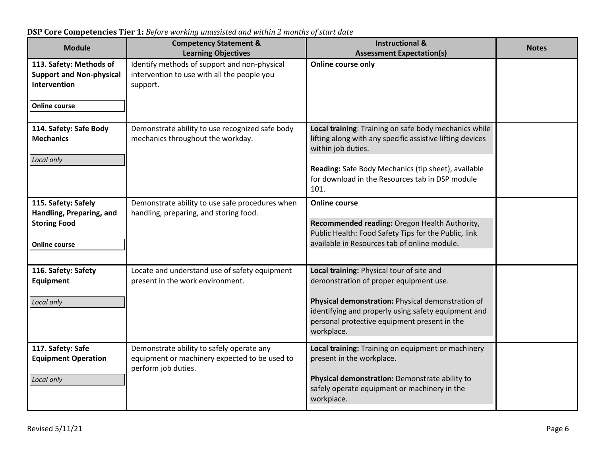**Module Competency Statement & Learning Objectives Instructional & Assessment Expectation(s) Notes 113. Safety: Methods of Support and Non-physical Intervention Online course**  Identify methods of support and non-physical intervention to use with all the people you support. **Online course only 114. Safety: Safe Body Mechanics** *Local only* Demonstrate ability to use recognized safe body mechanics throughout the workday. **Local training**: Training on safe body mechanics while lifting along with any specific assistive lifting devices within job duties. **Reading:** Safe Body Mechanics (tip sheet), available for download in the Resources tab in DSP module 101. **115. Safety: Safely Handling, Preparing, and Storing Food Online course**  Demonstrate ability to use safe procedures when handling, preparing, and storing food. **Online course Recommended reading:** Oregon Health Authority, Public Health: Food Safety Tips for the Public, link available in Resources tab of online module. **116. Safety: Safety Equipment** *Local only* Locate and understand use of safety equipment present in the work environment. **Local training:** Physical tour of site and demonstration of proper equipment use. **Physical demonstration:** Physical demonstration of identifying and properly using safety equipment and personal protective equipment present in the workplace. **117. Safety: Safe Equipment Operation** *Local only* Demonstrate ability to safely operate any equipment or machinery expected to be used to perform job duties. **Local training:** Training on equipment or machinery present in the workplace. **Physical demonstration:** Demonstrate ability to safely operate equipment or machinery in the workplace.

**DSP Core Competencies Tier 1:** *Before working unassisted and within 2 months of start date*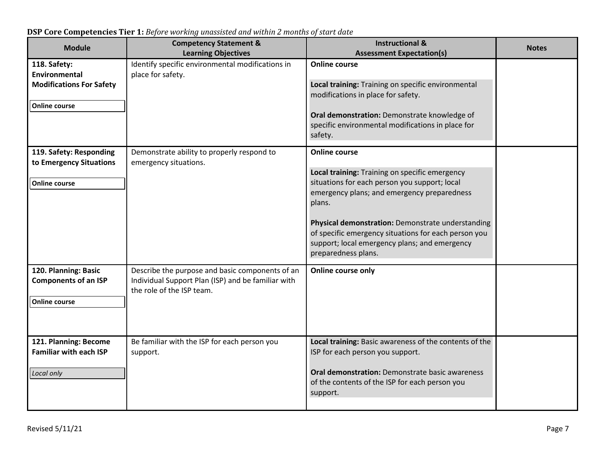| <b>Module</b>                                                                            | <b>Competency Statement &amp;</b><br><b>Learning Objectives</b>                                                                    | <b>Instructional &amp;</b><br><b>Assessment Expectation(s)</b>                                                                                                                                                                                                                                                                                                        | <b>Notes</b> |
|------------------------------------------------------------------------------------------|------------------------------------------------------------------------------------------------------------------------------------|-----------------------------------------------------------------------------------------------------------------------------------------------------------------------------------------------------------------------------------------------------------------------------------------------------------------------------------------------------------------------|--------------|
| 118. Safety:<br>Environmental<br><b>Modifications For Safety</b><br><b>Online course</b> | Identify specific environmental modifications in<br>place for safety.                                                              | <b>Online course</b><br>Local training: Training on specific environmental<br>modifications in place for safety.<br>Oral demonstration: Demonstrate knowledge of<br>specific environmental modifications in place for<br>safety.                                                                                                                                      |              |
| 119. Safety: Responding<br>to Emergency Situations<br><b>Online course</b>               | Demonstrate ability to properly respond to<br>emergency situations.                                                                | <b>Online course</b><br>Local training: Training on specific emergency<br>situations for each person you support; local<br>emergency plans; and emergency preparedness<br>plans.<br>Physical demonstration: Demonstrate understanding<br>of specific emergency situations for each person you<br>support; local emergency plans; and emergency<br>preparedness plans. |              |
| 120. Planning: Basic<br><b>Components of an ISP</b><br><b>Online course</b>              | Describe the purpose and basic components of an<br>Individual Support Plan (ISP) and be familiar with<br>the role of the ISP team. | Online course only                                                                                                                                                                                                                                                                                                                                                    |              |
| 121. Planning: Become<br><b>Familiar with each ISP</b><br>Local only                     | Be familiar with the ISP for each person you<br>support.                                                                           | Local training: Basic awareness of the contents of the<br>ISP for each person you support.<br><b>Oral demonstration:</b> Demonstrate basic awareness<br>of the contents of the ISP for each person you<br>support.                                                                                                                                                    |              |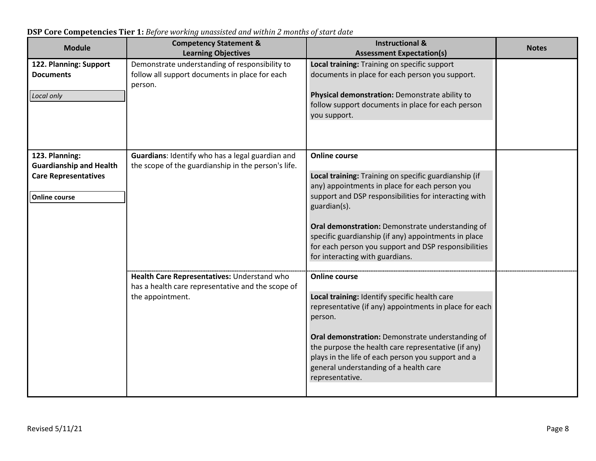| <b>Module</b>                                                                                           | <b>Competency Statement &amp;</b><br><b>Learning Objectives</b>                                                      | <b>Instructional &amp;</b><br><b>Assessment Expectation(s)</b>                                                                                                                                                                                                                                                                                                                                                  | <b>Notes</b> |
|---------------------------------------------------------------------------------------------------------|----------------------------------------------------------------------------------------------------------------------|-----------------------------------------------------------------------------------------------------------------------------------------------------------------------------------------------------------------------------------------------------------------------------------------------------------------------------------------------------------------------------------------------------------------|--------------|
| 122. Planning: Support<br><b>Documents</b><br>Local only                                                | Demonstrate understanding of responsibility to<br>follow all support documents in place for each<br>person.          | Local training: Training on specific support<br>documents in place for each person you support.<br>Physical demonstration: Demonstrate ability to<br>follow support documents in place for each person<br>you support.                                                                                                                                                                                          |              |
| 123. Planning:<br><b>Guardianship and Health</b><br><b>Care Representatives</b><br><b>Online course</b> | Guardians: Identify who has a legal guardian and<br>the scope of the guardianship in the person's life.              | <b>Online course</b><br>Local training: Training on specific guardianship (if<br>any) appointments in place for each person you<br>support and DSP responsibilities for interacting with<br>guardian(s).<br>Oral demonstration: Demonstrate understanding of<br>specific guardianship (if any) appointments in place<br>for each person you support and DSP responsibilities<br>for interacting with guardians. |              |
|                                                                                                         | Health Care Representatives: Understand who<br>has a health care representative and the scope of<br>the appointment. | <b>Online course</b><br>Local training: Identify specific health care<br>representative (if any) appointments in place for each<br>person.<br>Oral demonstration: Demonstrate understanding of<br>the purpose the health care representative (if any)<br>plays in the life of each person you support and a<br>general understanding of a health care<br>representative.                                        |              |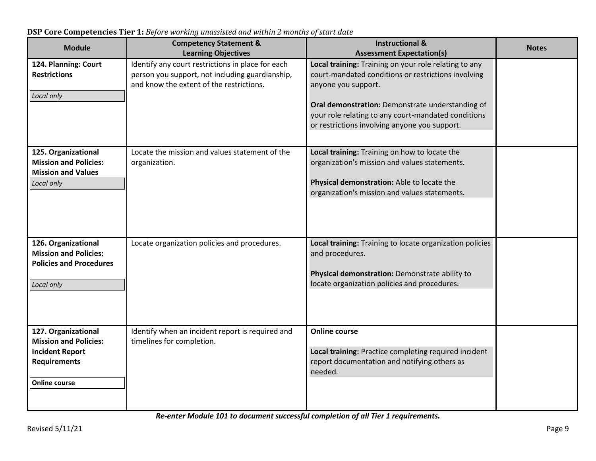| <b>Module</b>                                                                                                                | <b>Competency Statement &amp;</b><br><b>Learning Objectives</b>                                      | <b>Instructional &amp;</b><br><b>Assessment Expectation(s)</b>                                                                                                                                | <b>Notes</b> |
|------------------------------------------------------------------------------------------------------------------------------|------------------------------------------------------------------------------------------------------|-----------------------------------------------------------------------------------------------------------------------------------------------------------------------------------------------|--------------|
| 124. Planning: Court<br><b>Restrictions</b>                                                                                  | Identify any court restrictions in place for each<br>person you support, not including guardianship, | Local training: Training on your role relating to any<br>court-mandated conditions or restrictions involving                                                                                  |              |
| Local only                                                                                                                   | and know the extent of the restrictions.                                                             | anyone you support.<br>Oral demonstration: Demonstrate understanding of<br>your role relating to any court-mandated conditions<br>or restrictions involving anyone you support.               |              |
| 125. Organizational<br><b>Mission and Policies:</b><br><b>Mission and Values</b><br>Local only                               | Locate the mission and values statement of the<br>organization.                                      | Local training: Training on how to locate the<br>organization's mission and values statements.<br>Physical demonstration: Able to locate the<br>organization's mission and values statements. |              |
| 126. Organizational<br><b>Mission and Policies:</b><br><b>Policies and Procedures</b><br>Local only                          | Locate organization policies and procedures.                                                         | Local training: Training to locate organization policies<br>and procedures.<br>Physical demonstration: Demonstrate ability to<br>locate organization policies and procedures.                 |              |
| 127. Organizational<br><b>Mission and Policies:</b><br><b>Incident Report</b><br><b>Requirements</b><br><b>Online course</b> | Identify when an incident report is required and<br>timelines for completion.                        | <b>Online course</b><br>Local training: Practice completing required incident<br>report documentation and notifying others as<br>needed.                                                      |              |

**DSP Core Competencies Tier 1:** *Before working unassisted and within 2 months of start date*

*Re-enter Module 101 to document successful completion of all Tier 1 requirements.*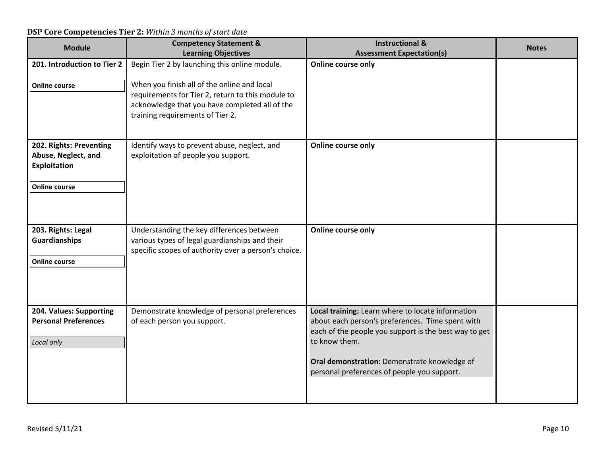| <b>Module</b>                                                        | <b>Competency Statement &amp;</b><br><b>Learning Objectives</b>                                                                                                                        | <b>Instructional &amp;</b><br><b>Assessment Expectation(s)</b>                                                                                                                                                                                                                 | <b>Notes</b> |
|----------------------------------------------------------------------|----------------------------------------------------------------------------------------------------------------------------------------------------------------------------------------|--------------------------------------------------------------------------------------------------------------------------------------------------------------------------------------------------------------------------------------------------------------------------------|--------------|
| 201. Introduction to Tier 2                                          | Begin Tier 2 by launching this online module.                                                                                                                                          | Online course only                                                                                                                                                                                                                                                             |              |
| <b>Online course</b>                                                 | When you finish all of the online and local<br>requirements for Tier 2, return to this module to<br>acknowledge that you have completed all of the<br>training requirements of Tier 2. |                                                                                                                                                                                                                                                                                |              |
| 202. Rights: Preventing<br>Abuse, Neglect, and                       | Identify ways to prevent abuse, neglect, and<br>exploitation of people you support.                                                                                                    | Online course only                                                                                                                                                                                                                                                             |              |
| Exploitation                                                         |                                                                                                                                                                                        |                                                                                                                                                                                                                                                                                |              |
| <b>Online course</b>                                                 |                                                                                                                                                                                        |                                                                                                                                                                                                                                                                                |              |
| 203. Rights: Legal<br><b>Guardianships</b>                           | Understanding the key differences between<br>various types of legal guardianships and their<br>specific scopes of authority over a person's choice.                                    | Online course only                                                                                                                                                                                                                                                             |              |
| <b>Online course</b>                                                 |                                                                                                                                                                                        |                                                                                                                                                                                                                                                                                |              |
| 204. Values: Supporting<br><b>Personal Preferences</b><br>Local only | Demonstrate knowledge of personal preferences<br>of each person you support.                                                                                                           | Local training: Learn where to locate information<br>about each person's preferences. Time spent with<br>each of the people you support is the best way to get<br>to know them.<br>Oral demonstration: Demonstrate knowledge of<br>personal preferences of people you support. |              |
|                                                                      |                                                                                                                                                                                        |                                                                                                                                                                                                                                                                                |              |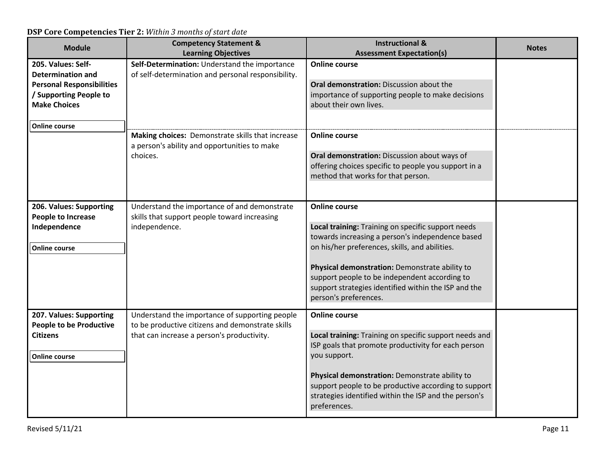| <b>Module</b>                    | <b>Competency Statement &amp;</b>                                                                | <b>Instructional &amp;</b>                                            | <b>Notes</b> |
|----------------------------------|--------------------------------------------------------------------------------------------------|-----------------------------------------------------------------------|--------------|
|                                  | <b>Learning Objectives</b>                                                                       | <b>Assessment Expectation(s)</b>                                      |              |
| 205. Values: Self-               | Self-Determination: Understand the importance                                                    | <b>Online course</b>                                                  |              |
| <b>Determination and</b>         | of self-determination and personal responsibility.                                               |                                                                       |              |
| <b>Personal Responsibilities</b> |                                                                                                  | Oral demonstration: Discussion about the                              |              |
| / Supporting People to           |                                                                                                  | importance of supporting people to make decisions                     |              |
| <b>Make Choices</b>              |                                                                                                  | about their own lives.                                                |              |
| <b>Online course</b>             |                                                                                                  |                                                                       |              |
|                                  | Making choices: Demonstrate skills that increase<br>a person's ability and opportunities to make | <b>Online course</b>                                                  |              |
|                                  | choices.                                                                                         | Oral demonstration: Discussion about ways of                          |              |
|                                  |                                                                                                  | offering choices specific to people you support in a                  |              |
|                                  |                                                                                                  | method that works for that person.                                    |              |
|                                  |                                                                                                  |                                                                       |              |
|                                  |                                                                                                  |                                                                       |              |
| 206. Values: Supporting          | Understand the importance of and demonstrate                                                     | <b>Online course</b>                                                  |              |
| <b>People to Increase</b>        | skills that support people toward increasing                                                     |                                                                       |              |
| Independence                     | independence.                                                                                    | Local training: Training on specific support needs                    |              |
|                                  |                                                                                                  | towards increasing a person's independence based                      |              |
| <b>Online course</b>             |                                                                                                  | on his/her preferences, skills, and abilities.                        |              |
|                                  |                                                                                                  | Physical demonstration: Demonstrate ability to                        |              |
|                                  |                                                                                                  | support people to be independent according to                         |              |
|                                  |                                                                                                  | support strategies identified within the ISP and the                  |              |
|                                  |                                                                                                  | person's preferences.                                                 |              |
| 207. Values: Supporting          | Understand the importance of supporting people                                                   | <b>Online course</b>                                                  |              |
| <b>People to be Productive</b>   | to be productive citizens and demonstrate skills                                                 |                                                                       |              |
| <b>Citizens</b>                  | that can increase a person's productivity.                                                       | Local training: Training on specific support needs and                |              |
|                                  |                                                                                                  | ISP goals that promote productivity for each person                   |              |
| <b>Online course</b>             |                                                                                                  | you support.                                                          |              |
|                                  |                                                                                                  |                                                                       |              |
|                                  |                                                                                                  | Physical demonstration: Demonstrate ability to                        |              |
|                                  |                                                                                                  | support people to be productive according to support                  |              |
|                                  |                                                                                                  | strategies identified within the ISP and the person's<br>preferences. |              |
|                                  |                                                                                                  |                                                                       |              |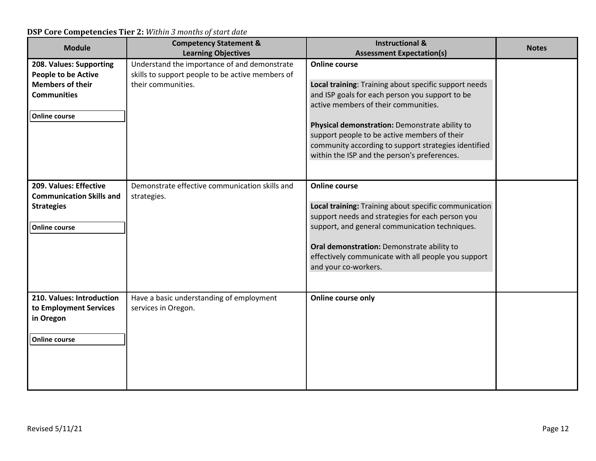| <b>Module</b>                                                                                                                  | <b>Competency Statement &amp;</b><br><b>Learning Objectives</b>                                                        | <b>Instructional &amp;</b><br><b>Assessment Expectation(s)</b>                                                                                                                                                                                                                                                                                                                     | <b>Notes</b> |
|--------------------------------------------------------------------------------------------------------------------------------|------------------------------------------------------------------------------------------------------------------------|------------------------------------------------------------------------------------------------------------------------------------------------------------------------------------------------------------------------------------------------------------------------------------------------------------------------------------------------------------------------------------|--------------|
| 208. Values: Supporting<br><b>People to be Active</b><br><b>Members of their</b><br><b>Communities</b><br><b>Online course</b> | Understand the importance of and demonstrate<br>skills to support people to be active members of<br>their communities. | <b>Online course</b><br>Local training: Training about specific support needs<br>and ISP goals for each person you support to be<br>active members of their communities.<br>Physical demonstration: Demonstrate ability to<br>support people to be active members of their<br>community according to support strategies identified<br>within the ISP and the person's preferences. |              |
| 209. Values: Effective<br><b>Communication Skills and</b><br><b>Strategies</b><br><b>Online course</b>                         | Demonstrate effective communication skills and<br>strategies.                                                          | <b>Online course</b><br>Local training: Training about specific communication<br>support needs and strategies for each person you<br>support, and general communication techniques.<br>Oral demonstration: Demonstrate ability to<br>effectively communicate with all people you support<br>and your co-workers.                                                                   |              |
| 210. Values: Introduction<br>to Employment Services<br>in Oregon<br><b>Online course</b>                                       | Have a basic understanding of employment<br>services in Oregon.                                                        | Online course only                                                                                                                                                                                                                                                                                                                                                                 |              |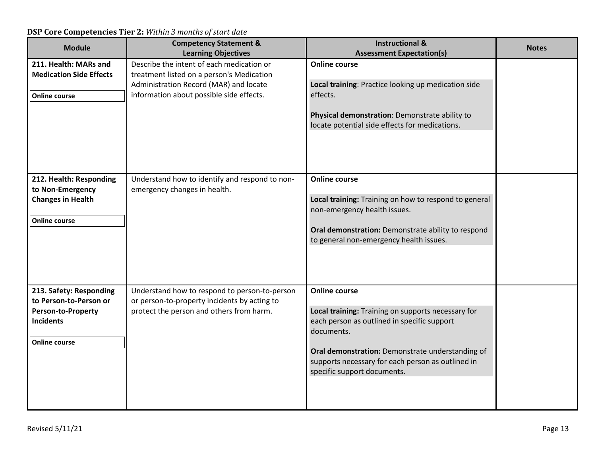| <b>Module</b>                                                                                                              | <b>Competency Statement &amp;</b>                                                                                                                                                                          | <b>Instructional &amp;</b>                                                                                                                                                                                                                                                      | <b>Notes</b> |
|----------------------------------------------------------------------------------------------------------------------------|------------------------------------------------------------------------------------------------------------------------------------------------------------------------------------------------------------|---------------------------------------------------------------------------------------------------------------------------------------------------------------------------------------------------------------------------------------------------------------------------------|--------------|
| 211. Health: MARs and<br><b>Medication Side Effects</b><br><b>Online course</b>                                            | <b>Learning Objectives</b><br>Describe the intent of each medication or<br>treatment listed on a person's Medication<br>Administration Record (MAR) and locate<br>information about possible side effects. | <b>Assessment Expectation(s)</b><br><b>Online course</b><br>Local training: Practice looking up medication side<br>effects.                                                                                                                                                     |              |
|                                                                                                                            |                                                                                                                                                                                                            | Physical demonstration: Demonstrate ability to<br>locate potential side effects for medications.                                                                                                                                                                                |              |
| 212. Health: Responding<br>to Non-Emergency<br><b>Changes in Health</b><br><b>Online course</b>                            | Understand how to identify and respond to non-<br>emergency changes in health.                                                                                                                             | <b>Online course</b><br>Local training: Training on how to respond to general<br>non-emergency health issues.<br>Oral demonstration: Demonstrate ability to respond<br>to general non-emergency health issues.                                                                  |              |
| 213. Safety: Responding<br>to Person-to-Person or<br><b>Person-to-Property</b><br><b>Incidents</b><br><b>Online course</b> | Understand how to respond to person-to-person<br>or person-to-property incidents by acting to<br>protect the person and others from harm.                                                                  | <b>Online course</b><br>Local training: Training on supports necessary for<br>each person as outlined in specific support<br>documents.<br>Oral demonstration: Demonstrate understanding of<br>supports necessary for each person as outlined in<br>specific support documents. |              |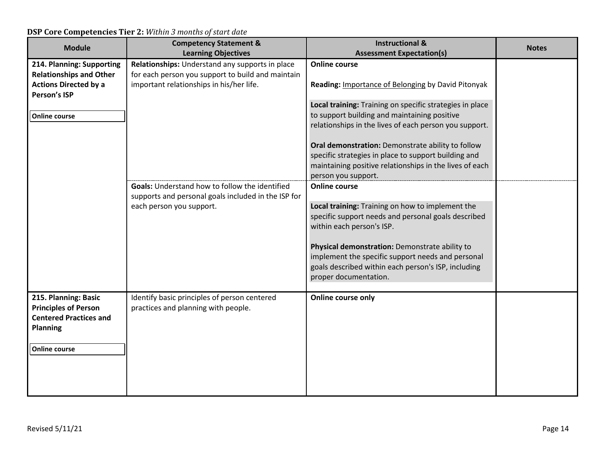| <b>Module</b>                  | <b>Competency Statement &amp;</b>                   | <b>Instructional &amp;</b>                                                                                      | <b>Notes</b> |
|--------------------------------|-----------------------------------------------------|-----------------------------------------------------------------------------------------------------------------|--------------|
|                                | <b>Learning Objectives</b>                          | <b>Assessment Expectation(s)</b>                                                                                |              |
| 214. Planning: Supporting      | Relationships: Understand any supports in place     | <b>Online course</b>                                                                                            |              |
| <b>Relationships and Other</b> | for each person you support to build and maintain   |                                                                                                                 |              |
| <b>Actions Directed by a</b>   | important relationships in his/her life.            | Reading: Importance of Belonging by David Pitonyak                                                              |              |
| Person's ISP                   |                                                     |                                                                                                                 |              |
|                                |                                                     | Local training: Training on specific strategies in place                                                        |              |
| <b>Online course</b>           |                                                     | to support building and maintaining positive                                                                    |              |
|                                |                                                     | relationships in the lives of each person you support.                                                          |              |
|                                |                                                     |                                                                                                                 |              |
|                                |                                                     | Oral demonstration: Demonstrate ability to follow                                                               |              |
|                                |                                                     | specific strategies in place to support building and<br>maintaining positive relationships in the lives of each |              |
|                                |                                                     | person you support.                                                                                             |              |
|                                | Goals: Understand how to follow the identified      | <b>Online course</b>                                                                                            |              |
|                                | supports and personal goals included in the ISP for |                                                                                                                 |              |
|                                | each person you support.                            | Local training: Training on how to implement the                                                                |              |
|                                |                                                     | specific support needs and personal goals described                                                             |              |
|                                |                                                     | within each person's ISP.                                                                                       |              |
|                                |                                                     |                                                                                                                 |              |
|                                |                                                     | Physical demonstration: Demonstrate ability to                                                                  |              |
|                                |                                                     | implement the specific support needs and personal                                                               |              |
|                                |                                                     | goals described within each person's ISP, including                                                             |              |
|                                |                                                     | proper documentation.                                                                                           |              |
|                                |                                                     |                                                                                                                 |              |
| 215. Planning: Basic           | Identify basic principles of person centered        | Online course only                                                                                              |              |
| <b>Principles of Person</b>    | practices and planning with people.                 |                                                                                                                 |              |
| <b>Centered Practices and</b>  |                                                     |                                                                                                                 |              |
| <b>Planning</b>                |                                                     |                                                                                                                 |              |
|                                |                                                     |                                                                                                                 |              |
| <b>Online course</b>           |                                                     |                                                                                                                 |              |
|                                |                                                     |                                                                                                                 |              |
|                                |                                                     |                                                                                                                 |              |
|                                |                                                     |                                                                                                                 |              |
|                                |                                                     |                                                                                                                 |              |